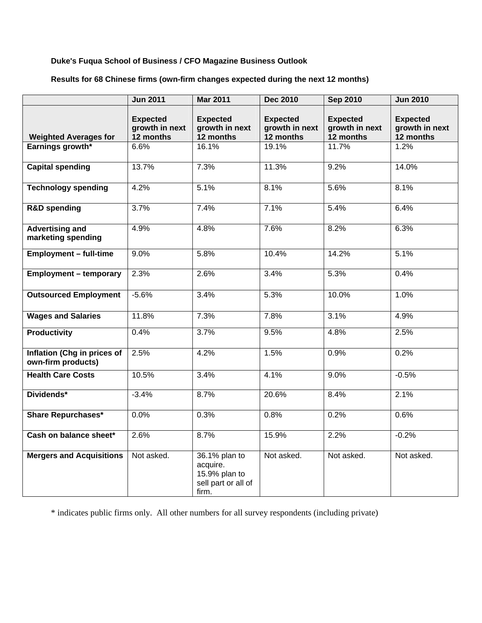### **Duke's Fuqua School of Business / CFO Magazine Business Outlook**

## **Results for 68 Chinese firms (own-firm changes expected during the next 12 months)**

|                                                   | <b>Jun 2011</b>                                | <b>Mar 2011</b>                                                            | <b>Dec 2010</b>                                | <b>Sep 2010</b>                                | <b>Jun 2010</b>                                |
|---------------------------------------------------|------------------------------------------------|----------------------------------------------------------------------------|------------------------------------------------|------------------------------------------------|------------------------------------------------|
| <b>Weighted Averages for</b>                      | <b>Expected</b><br>growth in next<br>12 months | <b>Expected</b><br>growth in next<br>12 months                             | <b>Expected</b><br>growth in next<br>12 months | <b>Expected</b><br>growth in next<br>12 months | <b>Expected</b><br>growth in next<br>12 months |
| Earnings growth*                                  | 6.6%                                           | 16.1%                                                                      | 19.1%                                          | 11.7%                                          | 1.2%                                           |
|                                                   |                                                |                                                                            |                                                |                                                |                                                |
| <b>Capital spending</b>                           | 13.7%                                          | 7.3%                                                                       | 11.3%                                          | 9.2%                                           | 14.0%                                          |
| <b>Technology spending</b>                        | 4.2%                                           | 5.1%                                                                       | 8.1%                                           | 5.6%                                           | 8.1%                                           |
| <b>R&amp;D</b> spending                           | 3.7%                                           | 7.4%                                                                       | 7.1%                                           | 5.4%                                           | 6.4%                                           |
| <b>Advertising and</b><br>marketing spending      | 4.9%                                           | 4.8%                                                                       | 7.6%                                           | 8.2%                                           | 6.3%                                           |
| <b>Employment - full-time</b>                     | 9.0%                                           | 5.8%                                                                       | 10.4%                                          | 14.2%                                          | 5.1%                                           |
| <b>Employment - temporary</b>                     | 2.3%                                           | 2.6%                                                                       | 3.4%                                           | 5.3%                                           | 0.4%                                           |
| <b>Outsourced Employment</b>                      | $-5.6%$                                        | 3.4%                                                                       | 5.3%                                           | 10.0%                                          | 1.0%                                           |
| <b>Wages and Salaries</b>                         | 11.8%                                          | 7.3%                                                                       | 7.8%                                           | 3.1%                                           | 4.9%                                           |
| <b>Productivity</b>                               | 0.4%                                           | 3.7%                                                                       | 9.5%                                           | 4.8%                                           | 2.5%                                           |
| Inflation (Chg in prices of<br>own-firm products) | 2.5%                                           | 4.2%                                                                       | 1.5%                                           | 0.9%                                           | 0.2%                                           |
| <b>Health Care Costs</b>                          | 10.5%                                          | 3.4%                                                                       | 4.1%                                           | 9.0%                                           | $-0.5%$                                        |
| Dividends*                                        | $-3.4%$                                        | 8.7%                                                                       | 20.6%                                          | 8.4%                                           | 2.1%                                           |
| <b>Share Repurchases*</b>                         | 0.0%                                           | 0.3%                                                                       | 0.8%                                           | 0.2%                                           | 0.6%                                           |
| Cash on balance sheet*                            | 2.6%                                           | 8.7%                                                                       | 15.9%                                          | 2.2%                                           | $-0.2%$                                        |
| <b>Mergers and Acquisitions</b>                   | Not asked.                                     | 36.1% plan to<br>acquire.<br>15.9% plan to<br>sell part or all of<br>firm. | Not asked.                                     | Not asked.                                     | Not asked.                                     |

\* indicates public firms only. All other numbers for all survey respondents (including private)